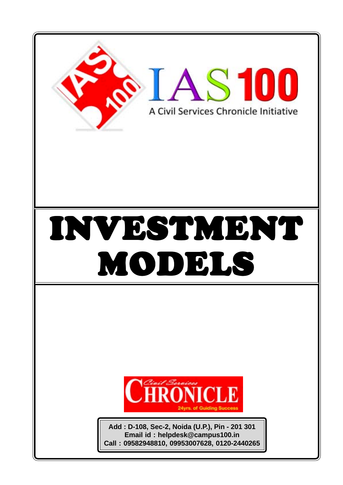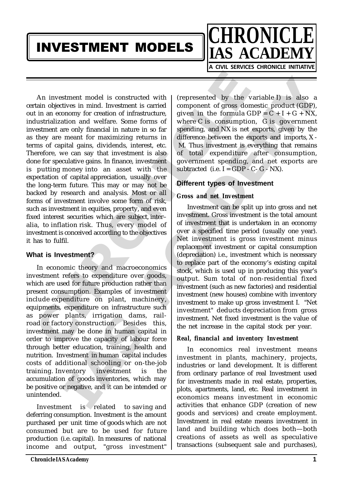INVESTMENT MODELS

**IAS ACADEMY** A CIVIL SERVICES CHRONICLE INITIATIVE

**CHRONICL** 

An investment model is constructed with  $\begin{array}{c|c|c|c} \text{An }i\text{th} \text{an }i\text{th} \text{an }i\text{an }i\text{an }i\text{an }i\text{an }i\text{an }i\text{an }i\text{an }i\text{an }i\text{an }i\text{an }i\text{an }i\text{an }i\text{an }i\text{an }i\text{an }i\text{an }i\text{an }i\text{an }i\text{an }i\text{an }i\text{an }i\text{an }i\text{an }i\$ An investment model is constructed with certain objectives in mind. Investment is carried out in an economy for creation of infrastructure, industrialization and welfare. Some forms of investment are only financial in nature in so far as they are meant for maximizing returns in terms of capital gains, dividends, interest, etc. Therefore, we can say that investment is also done for speculative gains. In finance, investment is putting money into an asset with the expectation of capital appreciation, usually over the long-term future. This may or may not be backed by research and analysis. Most or all forms of investment involve some form of risk, such as investment in equities, property, and even fixed interest securities which are subject, inter– alia, to inflation risk. Thus, every model of investment is conceived according to the objectives it has to fulfil.

## **What is Investment?**

In economic theory and macroeconomics investment refers to expenditure over goods, which are used for future production rather than present consumption. Examples of investment include expenditure on plant, machinery, equipments, expenditure on infrastructure such as power plants, irrigation dams, railroad or factory construction. Besides this, investment may be done in human capital in order to improve the capacity of labour force through better education, training, health and nutrition. Investment in human capital includes costs of additional schooling or on-the-job training. Inventory investment is the accumulation of goods inventories, which may be positive or negative, and it can be intended or unintended.

Investment is related to saving and deferring consumption. Investment is the amount purchased per unit time of goods which are not consumed but are to be used for future production (i.e. capital). In measures of national income and output, "gross investment"

(represented by the variable I) is also a component of gross domestic product (GDP), given in the formula  $GDP = C + I + G + Nx$ , where C is consumption, G is government spending, and NX is net exports, given by the difference between the exports and imports, X - M. Thus investment is everything that remains of total expenditure after consumption, government spending, and net exports are subtracted (i.e.  $I = GDP - C - G - Nx$ ).

## **Different types of Investment**

#### *Gross and net Investment*

Is<br>threat model is constructed with (represented by the variable I) is also a<br>three, in mind, Investment is carried component of gross domestic product GDP),<br>comony for resultion and welfare. Some forms of where C is cons Investment can be split up into gross and net investment. Gross investment is the total amount of investment that is undertaken in an economy over a specified time period (usually one year). Net investment is gross investment minus replacement investment or capital consumption (depreciation) i.e., investment which is necessary to replace part of the economy's existing capital stock, which is used up in producing this year's output. Sum total of non-residential fixed investment (such as new factories) and residential investment (new houses) combine with inventory investment to make up gross investment I. "Net investment" deducts depreciation from gross investment. Net fixed investment is the value of the net increase in the capital stock per year.

#### *Real, financial and inventory Investment*

In economics real investment means investment in plants, machinery, projects, industries or land development. It is different from ordinary parlance of real Investment used for investments made in real estate, properties, plots, apartments, land, etc. Real investment in economics means investment in economic activities that enhance GDP (creation of new goods and services) and create employment. Investment in real estate means investment in land and building which does both—both creations of assets as well as speculative transactions (subsequent sale and purchases),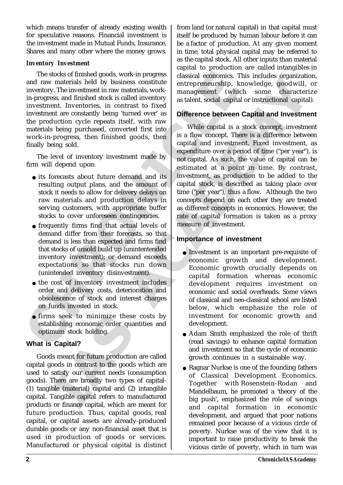which means transfer of already existing wealth for speculative reasons. Financial investment is the investment made in Mutual Funds, Insurance, Shares and many other where the money grows.

## *Inventory Investment*

The stocks of finished goods, work-in progress<br>
and raw materials held by business consiliute entrepreneutrship, k<br>
inversions, and finished stock is called inventory. The investment in raw materials, work-<br>
investment. I The stocks of finished goods, work-in progress and raw materials held by business constitute inventory. The investment in raw materials, workin-progress, and finished stock is called inventory investment. Inventories, in contrast to fixed investment are constantly being 'turned over' as the production cycle repeats itself, with raw materials being purchased, converted first into work-in-progress, then finished goods, then finally being sold.

The level of inventory investment made by firm will depend upon:

- $\bullet$  its forecasts about future demand and its resulting output plans, and the amount of stock it needs to allow for delivery delays on raw materials and production delays in serving customers, with appropriate buffer stocks to cover unforeseen contingencies.
- frequently firms find that actual levels of demand differ from their forecasts, so that demand is less than expected and firms find that stocks of unsold build up (unintentended inventory investment); or demand exceeds expectations so that stocks run down (unintended inventory disinvestment).
- $\bullet$  the cost of inventory investment includes order and delivery costs, deterioration and obsolescence of stock and interest charges on funds invested in stock.
- firms seek to minimize these costs by establishing economic order quantities and optimum stock holding.

# **What is Capital?**

Goods meant for future production are called capital goods in contrast to the goods which are used to satisfy our current needs (consumption goods). There are broadly two types of capital- (1) tangible (material) capital and (2) intangible capital. Tangible capital refers to manufactured products or finance capital, which are meant for future production. Thus, capital goods, real capital, or capital assets are already-produced durable goods or any non-financial asset that is used in production of goods or services. Manufactured or physical capital is distinct

from land (or natural capital) in that capital must itself be produced by human labour before it can be a factor of production. At any given moment in time, total physical capital may be referred to as the capital stock. All other inputs than material capital to production are called intangibles in classical economics. This includes organization, entrepreneurship, knowledge, goodwill, or management (which some characterize as talent, social capital or instructional capital).

# **Difference between Capital and Investment**

Association and growthe-matrical shows one and equation in the measurement in two measurement in the measurement of twitch sometimes. The investment is a measurement of which sometimes the measurement of twitch sometimes While capital is a stock concept, investment is a flow concept. There is a difference between capital and investment. Fixed investment, as expenditure over a period of time ("per year"), is not capital. As such, the value of capital can be estimated at a point in time. By contrast, investment, as production to be added to the capital stock, is described as taking place over time ("per year"), thus a flow. Although the two concepts depend on each other they are treated as different concepts in economics. However, the rate of capital formation is taken as a proxy measure of investment.

## **Importance of investment**

- Investment is an important pre-requisite of economic growth and development. Economic growth crucially depends on capital formation whereas economic development requires investment on economic and social overheads. Some views of classical and neo-classical school are listed below, which emphasize the role of investment for economic growth and development.
- Adam Smith emphasized the role of thrift (read savings) to enhance capital formation and investment so that the cycle of economic growth continues in a sustainable way.
- Ragnar Nurkse is one of the founding fathers of Classical Development Economics. Together with Rosenstein-Rodan and Mandelbaum, he promoted a 'theory of the big push', emphasized the role of savings and capital formation in economic development, and argued that poor nations remained poor because of a vicious circle of poverty. Nurkse was of the view that it is important to raise productivity to break the vicious circle of poverty, which in turn was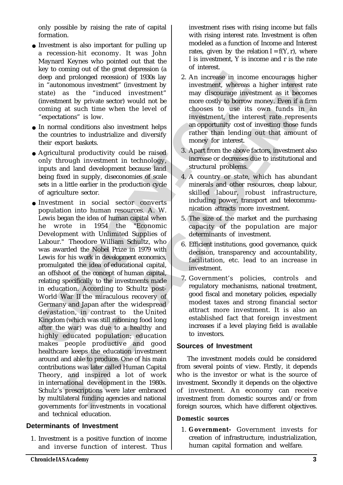only possible by raising the rate of capital formation.

- Investment is also important for pulling up a recession-hit economy. It was John Maynard Keynes who pointed out that the key to coming out of the great depression (a deep and prolonged recession) of 1930s lay in "autonomous investment" (investment by state) as the "induced investment" (investment by private sector) would not be coming at such time when the level of "expectations" is low.
- In normal conditions also investment helps the countries to industrialize and diversify their export baskets.
- Agricultural productivity could be raised only through investment in technology, inputs and land development because land being fixed in supply, diseconomies of scale sets in a little earlier in the production cycle of agriculture sector.
- Asy counting the other line three states and the particular in anononic investment in the mean of the state) as the "induced investment" (investment by private sector) would not be coming at such the when the level of the d prolonged recession) of 1936s lay a linear-ans in income crocurage higher<br>momous investment" (investment by investment whereas a higher interest rate<br>entry private set of "induced investment (investment in the comes for Investment in social sector converts population into human resources. A. W. Lewis began the idea of human capital when he wrote in 1954 the "Economic Development with Unlimited Supplies of Labour." Theodore William Schultz, who was awarded the Nobel Prize in 1979 with Lewis for his work in development economics, promulgated the idea of educational capital, an offshoot of the concept of human capital, relating specifically to the investments made in education. According to Schultz post-World War II the miraculous recovery of Germany and Japan after the widespread devastation, in contrast to the United Kingdom (which was still rationing food long after the war) was due to a healthy and highly educated population; education makes people productive and good healthcare keeps the education investment around and able to produce. One of his main contributions was later called Human Capital Theory, and inspired a lot of work in international development in the 1980s. Schulz's prescriptions were later embraced by multilateral funding agencies and national governments for investments in vocational and technical education.

## **Determinants of Investment**

1. Investment is a positive function of income and inverse function of interest. Thus investment rises with rising income but falls with rising interest rate. Investment is often modeled as a function of Income and Interest rates, given by the relation  $I = f(Y, r)$ , where I is investment, Y is income and r is the rate of interest.

- 2. An increase in income encourages higher investment, whereas a higher interest rate may discourage investment as it becomes more costly to borrow money. Even if a firm chooses to use its own funds in an investment, the interest rate represents an opportunity cost of investing those funds rather than lending out that amount of money for interest.
- 3. Apart from the above factors, investment also increase or decreases due to institutional and structural problems.
- 4. A country or state, which has abundant minerals and other resources, cheap labour, skilled labour, robust infrastructure, including power, transport and telecommunication attracts more investment.
- 5. The size of the market and the purchasing capacity of the population are major determinants of investment.
- 6. Efficient institutions, good governance, quick decision, transparency and accountability, facilitation, etc. lead to an increase in investment.
- 7. Government's policies, controls and regulatory mechanisms, national treatment, good fiscal and monetary policies, especially modest taxes and strong financial sector attract more investment. It is also an established fact that foreign investment increases if a level playing field is available to investors.

# **Sources of Investment**

The investment models could be considered from several points of view. Firstly, it depends who is the investor or what is the source of investment. Secondly it depends on the objective of investment. An economy can receive investment from domestic sources and/or from foreign sources, which have different objectives.

## *Domestic sources*

1. **Government-** Government invests for creation of infrastructure, industrialization, human capital formation and welfare.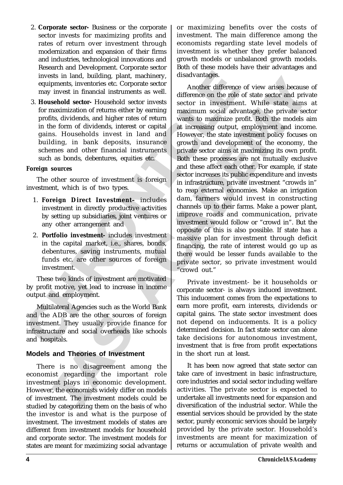- 2. **Corporate sector-** Business or the corporate sector invests for maximizing profits and rates of return over investment through modernization and expansion of their firms and industries, technological innovations and Research and Development. Corporate sector invests in land, building, plant, machinery, equipments, inventories etc. Corporate sector may invest in financial instruments as well.
- 3. **Household sector-** Household sector invests for maximization of returns either by earning profits, dividends, and higher rates of return in the form of dividends, interest or capital gains. Households invest in land and building, in bank deposits, insurance schemes and other financial instruments such as bonds, debentures, equities etc.

#### *Foreign sources*

The other source of investment is foreign investment, which is of two types.

- 1. **Foreign Direct Investment–** includes investment in directly productive activities by setting up subsidiaries, joint ventures or any other arrangement and
- 2. **Portfolio investment-** includes investment in the capital market, i.e., shares, bonds, debentures, saving instruments, mutual funds etc. are other sources of foreign investment.

These two kinds of investment are motivated by profit motive, yet lead to increase in income output and employment.

Multilateral Agencies such as the World Bank and the ADB are the other sources of foreign investment. They usually provide finance for infrastructure and social overheads like schools and hospitals.

## **Models and Theories of Investment**

There is no disagreement among the economist regarding the important role investment plays in economic development. However, the economists widely differ on models of investment. The investment models could be studied by categorizing them on the basis of who the investor is and what is the purpose of investment. The investment models of states are different from investment models for household and corporate sector. The investment models for states are meant for maximizing social advantage

or maximizing benefits over the costs of investment. The main difference among the economists regarding state level models of investment is whether they prefer balanced growth models or unbalanced growth models. Both of these models have their advantages and disadvantages.

invests in land, building, plant, machiney, disadvantages.<br>
equiponels, inventories etc. Corporate sector in investment fifternece may invest in financial instruments as well.<br>
3. Household sector Household sector invests IS an land bundling plant material constrained<br>the constrained in the find of the model internal constrained in the finding plant material in the model state in the finding of the sector and prior internal prior internal c Another difference of view arises because of difference on the role of state sector and private sector in investment. While state aims at maximum social advantage, the private sector wants to maximize profit. Both the models aim at increasing output, employment and income. However, the state investment policy focuses on growth and development of the economy, the private sector aims at maximizing its own profit. Both these processes are not mutually exclusive and these affect each other. For example, if state sector increases its public expenditure and invests in infrastructure, private investment "crowds in" to reap external economies. Make an irrigation dam, farmers would invest in constructing channels up to their farms. Make a power plant, improve roads and communication, private investment would follow or "crowd in". But the opposite of this is also possible. If state has a massive plan for investment through deficit financing, the rate of interest would go up as there would be lesser funds available to the private sector, so private investment would "crowd out."

Private investment- be it households or corporate sector- is always induced investment. This inducement comes from the expectations to earn more profit, earn interests, dividends or capital gains. The state sector investment does not depend on inducements. It is a policy determined decision. In fact state sector can alone take decisions for autonomous investment, investment that is free from profit expectations in the short run at least.

It has been now agreed that state sector can take care of investment in basic infrastructure, core industries and social sector including welfare activities. The private sector is expected to undertake all investments need for expansion and diversification of the industrial sector. While the essential services should be provided by the state sector, purely economic services should be largely provided by the private sector. Household's investments are meant for maximization of returns or accumulation of private wealth and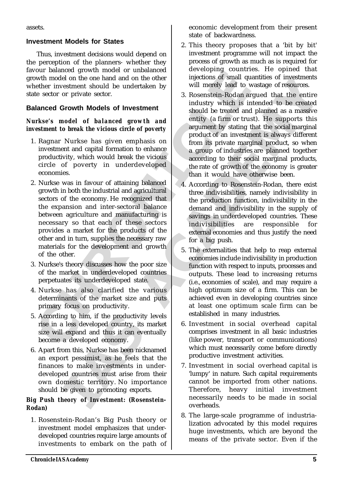assets.

# **Investment Models for States**

Thus, investment decisions would depend on the perception of the planners- whether they favour balanced growth model or unbalanced growth model on the one hand and on the other whether investment should be undertaken by state sector or private sector.

## **Balanced Growth Models of Investment**

## *Nurkse's model of balanced growth and investment to break the vicious circle of poverty*

- 1. Ragnar Nurkse has given emphasis on investment and capital formation to enhance productivity, which would break the vicious circle of poverty in underdeveloped economies.
- Not bathcolor solution to the section of small qualities in a level and on the online and and on the other invision of small qualitative investment to break the victious of the undertaken by the sector of private sector. T 2. Nurkse was in favour of attaining balanced growth in both the industrial and agricultural sectors of the economy. He recognized that the expansion and inter-sectoral balance between agriculture and manufacturing is necessary so that each of these sectors provides a market for the products of the other and in turn, supplies the necessary raw materials for the development and growth of the other.
- 3. Nurkse's theory discusses how the poor size of the market in underdeveloped countries perpetuates its underdeveloped state.
- 4. Nurkse has also clarified the various determinants of the market size and puts primary focus on productivity.
- 5. According to him, if the productivity levels rise in a less developed country, its market size will expand and thus it can eventually become a developed economy.
- 6. Apart from this, Nurkse has been nicknamed an export pessimist, as he feels that the finances to make investments in underdeveloped countries must arise from their own domestic territory. No importance should be given to promoting exports.

## *Big Push theory of Investment: (Rosenstein-Rodan)*

1. Rosenstein-Rodan's Big Push theory or investment model emphasizes that underdeveloped countries require large amounts of investments to embark on the path of economic development from their present state of backwardness.

- 2. This theory proposes that a 'bit by bit' investment programme will not impact the process of growth as much as is required for developing countries. He opined that injections of small quantities of investments will merely lead to wastage of resources.
- d on the one hand and on the other and an interestinged in the states of investment<br>
states are the interestinged that in equilibring the states of research and planet is a Rosenwich and planet in the state of power inter 3. Rosenstein-Rodan argued that the entire industry which is intended to be created should be treated and planned as a massive entity (a firm or trust). He supports this argument by stating that the social marginal product of an investment is always different from its private marginal product, so when a group of industries are planned together according to their social marginal products, the rate of growth of the economy is greater than it would have otherwise been.
	- 4. According to Rosenstein-Rodan, there exist three indivisibilities, namely indivisibility in the production function, indivisibility in the demand and indivisibility in the supply of savings in underdeveloped countries. These<br>indivisibilities are responsible for indivisibilities are responsible for external economies and thus justify the need for a big push.
	- 5. The externalities that help to reap external economies include indivisibility in production function with respect to inputs, processes and outputs. These lead to increasing returns (i.e., economies of scale), and may require a high optimum size of a firm. This can be achieved even in developing countries since at least one optimum scale firm can be established in many industries.
	- 6. Investment in social overhead capital comprises investment in all basic industries (like power, transport or communications) which must necessarily come before directly productive investment activities.
	- 7. Investment in social overhead capital is 'lumpy' in nature. Such capital requirements cannot be imported from other nations. Therefore, heavy initial investment necessarily needs to be made in social overheads.
	- 8. The large-scale programme of industrialization advocated by this model requires huge investments, which are beyond the means of the private sector. Even if the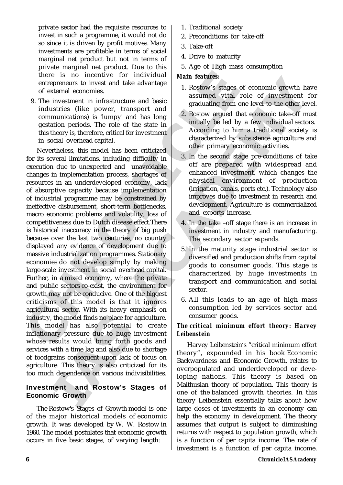private sector had the requisite resources to invest in such a programme, it would not do so since it is driven by profit motives. Many investments are profitable in terms of social marginal net product but not in terms of private marginal net product. Due to this there is no incentive for individual entrepreneurs to invest and take advantage of external economies.

9. The investment in infrastructure and basic industries (like power, transport and communications) is 'lumpy' and has long gestation periods. The role of the state in this theory is, therefore, critical for investment in social overhead capital.

The interpreneut to invest and take advantage of external economies.<br>
The investment in infrastructure and basic and take advantage of external economies.<br>
9. The investment in infrastructure and basic and state and indust IS not intentive for intervention<br>and Maximum density and the straine of the strained commite growth hadron interstent to intervention of intervention<br>three methods in the strained of the strained valid reduced from the<br>s Nevertheless, this model has been criticized for its several limitations, including difficulty in execution due to unexpected and unavoidable changes in implementation process, shortages of resources in an underdeveloped economy, lack of absorptive capacity because implementation of industrial programme may be constrained by ineffective disbursement, short-term bottlenecks, macro economic problems and volatility, loss of competitiveness due to Dutch disease effect.There is historical inaccuracy in the theory of big push because over the last two centuries, no country displayed any evidence of development due to massive industrialization programmes. Stationary economies do not develop simply by making large-scale investment in social overhead capital. Further, in a mixed economy, where the private and public sectors co-exist, the environment for growth may not be conducive. One of the biggest criticisms of this model is that it ignores agricultural sector. With its heavy emphasis on industry, the model finds no place for agriculture. This model has also potential to create inflationary pressure due to huge investment whose results would bring forth goods and services with a time lag and also due to shortage of foodgrains consequent upon lack of focus on agriculture. This theory is also criticized for its too much dependence on various indivisibilities.

# **Investment and Rostow's Stages of Economic Growth**

The Rostow's Stages of Growth model is one of the major historical models of economic growth. It was developed by W. W. Rostow in 1960. The model postulates that economic growth occurs in five basic stages, of varying length:

- 1. Traditional society
- 2. Preconditions for take-off
- 3. Take-off
- 4. Drive to maturity
- 5. Age of High mass consumption

# *Main features:*

- 1. Rostow's stages of economic growth have assumed vital role of investment for graduating from one level to the other level.
- 2. Rostow argued that economic take-off must initially be led by a few individual sectors. According to him a traditional society is characterized by subsistence agriculture and other primary economic activities.
- 3. In the second stage pre-conditions of take off are prepared with widespread and enhanced investment, which changes the physical environment of production (irrigation, canals, ports etc.). Technology also improves due to investment in research and development. Agriculture is commercialized and exports increase.
- 4. In the take –off stage there is an increase in investment in industry and manufacturing. The secondary sector expands.
- 5. In the maturity stage industrial sector is diversified and production shifts from capital goods to consumer goods. This stage is characterized by huge investments in transport and communication and social sector.
- 6. All this leads to an age of high mass consumption led by services sector and consumer goods.

# *The critical minimum effort theory: Harvey Leibenstein*

Harvey Leibenstein's "critical minimum effort theory", expounded in his book Economic Backwardness and Economic Growth, relates to overpopulated and underdeveloped or developing nations. This theory is based on Malthusian theory of population. This theory is one of the balanced growth theories. In this theory Leibenstein essentially talks about how large doses of investments in an economy can help the economy in development. The theory assumes that output is subject to diminishing returns with respect to population growth, which is a function of per capita income. The rate of investment is a function of per capita income.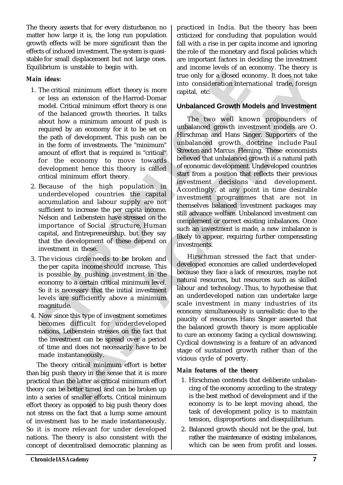The theory asserts that for every disturbance, no matter how large it is, the long run population growth effects will be more significant than the effects of induced investment. The system is quasistable for small displacement but not large ones. Equilibrium is unstable to begin with.

## *Main ideas:*

- $\begin{tabular}{p{0.8cm} {\bf n} In the data method growth the best on the had a need growth.\\ of the balanced growth to the risk on the path of development. This system is a possible by pushing a result, and the other depth of the performance of the data method is a possible.\\ of the data method is the best on the path of the system, and the data method is the best on the path of the system.\\ \end{tabular} The two well known a minimum amount of the set of the data method is required. The first of the data method is the result of the data method is the result of the data method is the result of the data method is the result of the data method is the result of the data method. The second method is the result of the data method is the result of the data method is the result of the data method. The second method is the result of the data method is the result of the data method is the result of the data method. The second method is the$ 1. The critical minimum effort theory is more or less an extension of the Harrod-Domar model. Critical minimum effort theory is one of the balanced growth theories. It talks about how a minimum amount of push is required by an economy for it to be set on the path of development. This push can be in the form of investments. The "minimum" amount of effort that is required is "critical" for the economy to move towards development hence this theory is called critical minimum effort theory.
- 2. Because of the high population in underdeveloped countries the capital accumulation and labour supply are not sufficient to increase the per capita income. Nelson and Leibenstein have stressed on the importance of Social structure, Human capital, and Entrepreneurship, but they say that the development of these depend on investment in these.
- 3. The vicious circle needs to be broken and the per capita income should increase. This is possible by pushing investment in the economy to a certain critical minimum level. So it is necessary that the initial investment levels are sufficiently above a minimum magnitude.
- 4. Now since this type of investment sometimes becomes difficult for underdeveloped nations, Leibenstein stresses on the fact that the investment can be spread over a period of time and does not necessarily have to be made instantaneously.

The theory critical minimum effort is better than big push theory in the sense that it is more practical than the latter as critical minimum effort theory can be better timed and can be broken up into a series of smaller efforts. Critical minimum effort theory as opposed to big push theory does not stress on the fact that a lump some amount of investment has to be made instantaneously. So it is more relevant for under developed nations. The theory is also consistent with the concept of decentralised democratic planning as

practiced in India. But the theory has been criticized for concluding that population would fall with a rise in per capita income and ignoring the role of the monetary and fiscal policies which are important factors in deciding the investment and income levels of an economy. The theory is true only for a closed economy. It does not take into consideration international trade, foreign capital, etc.

# **Unbalanced Growth Models and Investment**

cal minimum effort theory is more into considerate<br>on the compy in the case at computer and the Harrod-Domarcon into considerate<br>on intervalsion intervalsion and the Harrod-Domarcon (and the Harrod-Domarcon (and the Harro The two well known propounders of unbalanced growth investment models are O. Hirschman and Hans Singer. Supporters of the unbalanced growth doctrine include Paul Streeten and Marcus Fleming. These economists believed that unbalanced growth is a natural path of economic development. Undeveloped countries start from a position that reflects their previous investment decisions and development. Accordingly, at any point in time desirable investment programmes that are not in themselves balanced investment packages may still advance welfare. Unbalanced investment can complement or correct existing imbalances. Once such an investment is made, a new imbalance is likely to appear, requiring further compensating investments.

Hirschman stressed the fact that underdeveloped economies are called underdeveloped because they face a lack of resources, maybe not natural resources, but resources such as skilled labour and technology. Thus, to hypothesise that an underdeveloped nation can undertake large scale investment in many industries of its economy simultaneously is unrealistic due to the paucity of resources. Hans Singer asserted that the balanced growth theory is more applicable to cure an economy facing a cyclical downswing. Cyclical downswing is a feature of an advanced stage of sustained growth rather than of the vicious cycle of poverty.

## *Main features of the theory*

- 1. Hirschman contends that deliberate unbalancing of the economy according to the strategy is the best method of development and if the economy is to be kept moving ahead, the task of development policy is to maintain tension, disproportions and disequilibrium.
- 2. Balanced growth should not be the goal, but rather the maintenance of existing imbalances, which can be seen from profit and losses.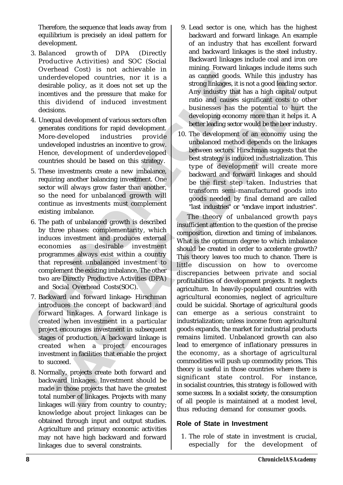Therefore, the sequence that leads away from equilibrium is precisely an ideal pattern for development.

- 3. Balanced growth of DPA (Directly Productive Activities) and SOC (Social Overhead Cost) is not achievable in underdeveloped countries, nor it is a desirable policy, as it does not set up the incentives and the pressure that make for this dividend of induced investment decisions.
- 4. Unequal development of various sectors often generates conditions for rapid development. More-developed industries provide undeveloped industries an incentive to grow. Hence, development of underdeveloped countries should be based on this strategy.
- 5. These investments create a new imbalance, requiring another balancing investment. One sector will always grow faster than another, so the need for unbalanced growth will continue as investments must complement existing imbalance.
- Contract Costs at these not scattering in the strong linkages, it is a<br>underdeveloped countries, nor it is a<br>incentives and the pressure that make for<br>incentives and the pressure that make for<br>the share in this dividend o 6. The path of unbalanced growth is described by three phases: complementarity, which induces investment and produces external economies as desirable investment programmes always exist within a country that represent unbalanced investment to complement the existing imbalance. The other two are Directly Productive Activities (DPA) and Social Overhead Costs(SOC).
	- 7. Backward and forward linkage- Hirschman introduces the concept of backward and forward linkages. A forward linkage is created when investment in a particular project encourages investment in subsequent stages of production. A backward linkage is created when a project encourages investment in facilities that enable the project to succeed.
	- 8. Normally, projects create both forward and backward linkages. Investment should be made in those projects that have the greatest total number of linkages. Projects with many linkages will vary from country to country; knowledge about project linkages can be obtained through input and output studies. Agriculture and primary economic activities may not have high backward and forward linkages due to several constraints.
- 9. Lead sector is one, which has the highest backward and forward linkage. An example of an industry that has excellent forward and backward linkages is the steel industry. Backward linkages include coal and iron ore mining. Forward linkages include items such as canned goods. While this industry has strong linkages, it is not a good leading sector. Any industry that has a high capital/output ratio and causes significant costs to other businesses has the potential to hurt the developing economy more than it helps it. A better leading sector would be the beer industry.
- 10. The development of an economy using the unbalanced method depends on the linkages between sectors. Hirschman suggests that the best strategy is induced industrialization. This type of development will create more backward and forward linkages and should be the first step taken. Industries that transform semi-manufactured goods into goods needed by final demand are called "last industries" or "enclave import industries".

erdeveloped countries, nor it is an example goods. Swime this modition and the pressure that make for  $\sim$  Any moths are the pressure of the most measure that make the strength of the strength of the strength of the streng The theory of unbalanced growth pays insufficient attention to the question of the precise composition, direction and timing of imbalances. What is the optimum degree to which imbalance should be created in order to accelerate growth? This theory leaves too much to chance. There is little discussion on how to overcome discrepancies between private and social profitabilities of development projects. It neglects agriculture. In heavily-populated countries with agricultural economies, neglect of agriculture could be suicidal. Shortage of agricultural goods can emerge as a serious constraint to industrialization; unless income from agricultural goods expands, the market for industrial products remains limited. Unbalanced growth can also lead to emergence of inflationary pressures in the economy, as a shortage of agricultural commodities will push up commodity prices. This theory is useful in those countries where there is significant state control. For instance, in socialist countries, this strategy is followed with some success. In a socialist society, the consumption of all people is maintained at a modest level, thus reducing demand for consumer goods.

## **Role of State in Investment**

1. The role of state in investment is crucial, especially for the development of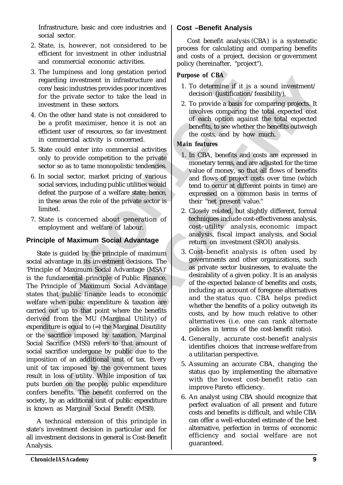Infrastructure, basic and core industries and social sector.

- 2. State, is, however, not considered to be efficient for investment in other industrial and commercial economic activities.
- 3. The lumpiness and long gestation period regarding investment in infrastructure and core/basic industries provides poor incentives for the private sector to take the lead in investment in these sectors.
- 4. On the other hand state is not considered to be a profit maximiser, hence it is not an efficient user of resources, so far investment in commercial activity is concerned.
- 5. State could enter into commercial activities only to provide competition to the private sector so as to tame monopolistic tendencies.
- 6. In social sector, market pricing of various social services, including public utilities would defeat the purpose of a welfare state; hence, in these areas the role of the private sector is limited.
- 7. State is concerned about generation of employment and welfare of labour.

# **Principle of Maximum Social Advantage**

The implies and long estation period and the state of the principle of the principle of the principle of the principle of the principle of the principle of the principle of the principle of the principle of the principle E investment in infrastructure and Case Case<br>
is in the section of the section of the best section of the best section of the best section of the section of the section of the case of each opposite the case where the total State is guided by the principle of maximum social advantage in its investment decisions. The 'Principle of Maximum Social Advantage (MSA)' is the fundamental principle of Public Finance. The Principle of Maximum Social Advantage states that public finance leads to economic welfare when pubic expenditure & taxation are carried out up to that point where the benefits derived from the MU (Marginal Utility) of expenditure is equal to (=) the Marginal Disutility or the sacrifice imposed by taxation. Marginal Social Sacrifice (MSS) refers to that amount of social sacrifice undergone by public due to the imposition of an additional unit of tax. Every unit of tax imposed by the government taxes result in loss of utility. While imposition of tax puts burden on the people, public expenditure confers benefits. The benefit conferred on the society, by an additional unit of public expenditure is known as Marginal Social Benefit (MSB).

A technical extension of this principle in state's investment decision in particular and for all investment decisions in general is Cost-Benefit Analysis.

# **Cost –Benefit Analysis**

Cost benefit analysis (CBA) is a systematic process for calculating and comparing benefits and costs of a project, decision or government policy (hereinafter, "project").

# *Purpose of CBA*

- 1. To determine if it is a sound investment/ decision (justification/feasibility),
- 2. To provide a basis for comparing projects. It involves comparing the total expected cost of each option against the total expected benefits, to see whether the benefits outweigh the costs, and by how much.

# *Main features*

- 1. In CBA, benefits and costs are expressed in monetary terms, and are adjusted for the time value of money, so that all flows of benefits and flows of project costs over time (which tend to occur at different points in time) are expressed on a common basis in terms of their "net present value."
- 2. Closely related, but slightly different, formal techniques include cost-effectiveness analysis, cost–utility analysis, economic impact analysis, fiscal impact analysis, and Social return on investment (SROI) analysis.
- 3. Cost–benefit analysis is often used by governments and other organizations, such as private sector businesses, to evaluate the desirability of a given policy. It is an analysis of the expected balance of benefits and costs, including an account of foregone alternatives and the status quo. CBA helps predict whether the benefits of a policy outweigh its costs, and by how much relative to other alternatives (i.e. one can rank alternate policies in terms of the cost-benefit ratio).
- 4. Generally, accurate cost-benefit analysis identifies choices that increase welfare from a utilitarian perspective.
- 5. Assuming an accurate CBA, changing the status quo by implementing the alternative with the lowest cost-benefit ratio can improve Pareto efficiency.
- 6. An analyst using CBA should recognize that perfect evaluation of all present and future costs and benefits is difficult, and while CBA can offer a well-educated estimate of the best alternative, perfection in terms of economic efficiency and social welfare are not guaranteed.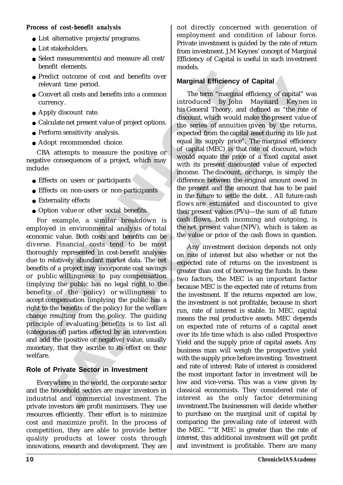## *Process of cost-benefit analysis*

- List alternative projects/programs.
- List stakeholders.
- Select measurement(s) and measure all cost/ benefit elements.
- Predict outcome of cost and benefits over relevant time period.
- Convert all costs and benefits into a common currency.
- Apply discount rate.
- Calculate net present value of project options.
- Perform sensitivity analysis.
- Adopt recommended choice.

CBA attempts to measure the positive or negative consequences of a project, which may include:

- Effects on users or participants
- Effects on non-users or non-participants
- **Externality effects**
- Option value or other social benefits.

Finden and Boreak (Several method. Convert all costs and benefits into a common The term "narginal currency. The semi-burst cancel and benefits into a common and the semi-burst convert all costs and benefits into a common For example, a similar breakdown is employed in environmental analysis of total economic value. Both costs and benefits can be diverse. Financial costs tend to be most thoroughly represented in cost-benefit analyses due to relatively abundant market data. The net benefits of a project may incorporate cost savings or public willingness to pay compensation (implying the public has no legal right to the benefits of the policy) or willingness to accept compensation (implying the public has a right to the benefits of the policy) for the welfare change resulting from the policy. The guiding principle of evaluating benefits is to list all (categories of) parties affected by an intervention and add the (positive or negative) value, usually monetary, that they ascribe to its effect on their welfare.

# **Role of Private Sector in Investment**

Everywhere in the world, the corporate sector and the household sectors are major investors in industrial and commercial investment. The private investors are profit maximisers. They use resources efficiently. Their effort is to minimize cost and maximize profit. In the process of competition, they are able to provide better quality products at lower costs through innovations, research and development. They are not directly concerned with generation of employment and condition of labour force. Private investment is guided by the rate of return from investment. J.M Keynes' concept of Marginal Efficiency of Capital is useful in such investment models.

# **Marginal Efficiency of Capital**

The term "marginal efficiency of capital" was introduced by John Maynard Keynes in his General Theory, and defined as "the rate of discount, which would make the present value of the series of annuities given by the returns, expected from the capital asset during its life just equal its supply price". The marginal efficiency of capital (MEC) is that rate of discount, which would equate the price of a fixed capital asset with its present discounted value of expected income. The discount, or charge, is simply the difference between the original amount owed in the present and the amount that has to be paid in the future to settle the debt. . All future cash flows are estimated and discounted to give their present values (PVs)—the sum of all future cash flows, both incoming and outgoing, is the net present value (NPV), which is taken as the value or price of the cash flows in question.

Let cuttome of cost and benefits over<br>
the two marginal Efficiency of Capital<br>
and time geriod.<br>
The term "inarginal Efficiency of Capital" vary<br>
are the costs and benefits into a common<br>
latter due of project options.<br>
La Any investment decision depends not only on rate of interest but also whether or not the expected rate of returns on the investment is greater than cost of borrowing the funds. In these two factors, the MEC is an important factor because MEC is the expected rate of returns from the investment. If the returns expected are low, the investment is not profitable, because in short run, rate of interest is stable. In MEC, capital means the real productive assets. MEC depends on expected rate of returns of a capital asset over its life time which is also called Prospective Yield and the supply price of capital assets. Any business man will weigh the prospective yield with the supply price before investing. 'Investment and rate of interest: Rate of interest is considered the most important factor in investment will be low and vice-versa. This was a view given by classical economists. They considered rate of interest as the only factor determining investment.The businessmen will decide whether to purchase on the marginal unit of capital by comparing the prevailing rate of interest with the MEC. ""If MEC is greater than the rate of interest, this additional investment will get profit and investment is profitable. There are many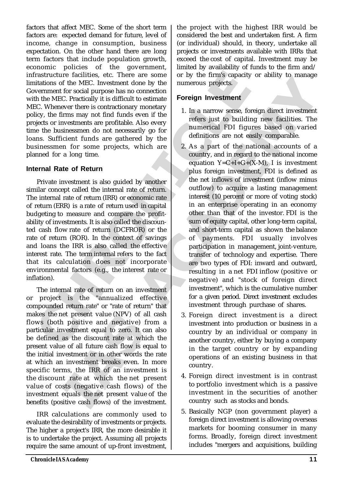factors that affect MEC. Some of the short term factors are: expected demand for future, level of income, change in consumption, business expectation. On the other hand there are long term factors that include population growth, economic policies of the government, infrastructure facilities, etc. There are some limitations of the MEC. Investment done by the Government for social purpose has no connection with the MEC. Practically it is difficult to estimate MEC. Whenever there is contractionary monetary policy, the firms may not find funds even if the projects or investments are profitable. Also every time the businessmen do not necessarily go for loans. Sufficient funds are gathered by the businessmen for some projects, which are planned for a long time.

# **Internal Rate of Return**

Trastructure facilities, etc. There are some<br>
intendent of the MEC. Investment for social purpose has no connection<br>
were<br>memoir for social purpose has no connection<br>
the MEC. Practically it is difficult to estimate provi Private investment is also guided by another similar concept called the internal rate of return. The internal rate of return (IRR) or economic rate of return (ERR) is a rate of return used in capital budgeting to measure and compare the profitability of investments. It is also called the discounted cash flow rate of return (DCFROR) or the rate of return (ROR). In the context of savings and loans the IRR is also called the effective interest rate. The term internal refers to the fact that its calculation does not incorporate environmental factors (e.g., the interest rate or inflation).

The internal rate of return on an investment or project is the "annualized effective compounded return rate" or "rate of return" that makes the net present value (NPV) of all cash flows (both positive and negative) from a particular investment equal to zero. It can also be defined as the discount rate at which the present value of all future cash flow is equal to the initial investment or in other words the rate at which an investment breaks even. In more specific terms, the IRR of an investment is the discount rate at which the net present value of costs (negative cash flows) of the investment equals the net present value of the benefits (positive cash flows) of the investment.

IRR calculations are commonly used to evaluate the desirability of investments or projects. The higher a project's IRR, the more desirable it is to undertake the project. Assuming all projects require the same amount of up-front investment,

the project with the highest IRR would be considered the best and undertaken first. A firm (or individual) should, in theory, undertake all projects or investments available with IRRs that exceed the cost of capital. Investment may be limited by availability of funds to the firm and/ or by the firm's capacity or ability to manage numerous projects.

# **Foreign Investment**

- 1. In a narrow sense, foreign direct investment refers just to building new facilities. The numerical FDI figures based on varied definitions are not easily comparable.
- Fractions. etc. There are something to by the mini-scepacity of sometic in the MEC. Investment done by the mini-scepacity of sometical properties of the MEC. Investment done by the mini-scepacity of sometical and the cont 2. As a part of the national accounts of a country, and in regard to the national income equation  $Y=C+I+G+(X-M)$ , I is investment plus foreign investment, FDI is defined as the net inflows of investment (inflow minus outflow) to acquire a lasting management interest (10 percent or more of voting stock) in an enterprise operating in an economy other than that of the investor. FDI is the sum of equity capital, other long-term capital, and short-term capital as shown the balance of payments. FDI usually involves participation in management, joint-venture, transfer of technology and expertise. There are two types of FDI: inward and outward, resulting in a net FDI inflow (positive or negative) and "stock of foreign direct investment", which is the cumulative number for a given period. Direct investment excludes investment through purchase of shares.
	- 3. Foreign direct investment is a direct investment into production or business in a country by an individual or company in another country, either by buying a company in the target country or by expanding operations of an existing business in that country.
	- 4. Foreign direct investment is in contrast to portfolio investment which is a passive investment in the securities of another country such as stocks and bonds.
	- 5. Basically NGP (non government player) a foreign direct investment is allowing overseas markets for booming consumer in many forms. Broadly, foreign direct investment includes "mergers and acquisitions, building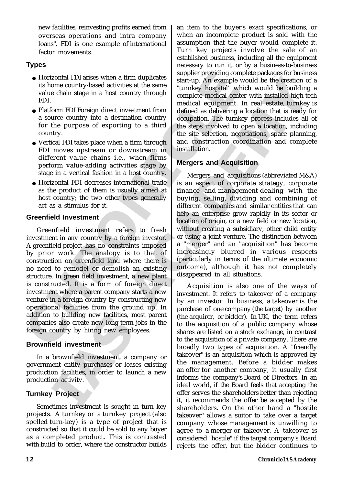new facilities, reinvesting profits earned from overseas operations and intra company loans". FDI is one example of international factor movements.

# **Types**

- Horizontal FDI arises when a firm duplicates its home country-based activities at the same value chain stage in a host country through FDI.
- Platform FDI Foreign direct investment from a source country into a destination country for the purpose of exporting to a third country.
- Vertical FDI takes place when a firm through FDI moves upstream or downstream in different value chains i.e., when firms perform value-adding activities stage by stage in a vertical fashion in a host country.
- Horizontal FDI decreases international trade as the product of them is usually aimed at host country; the two other types generally act as a stimulus for it.

## **Greenfield Investment**

 $\begin{tabular}{p{0.8cm} \textbf{1}} \end{tabular} \begin{tabular}{p{0.8cm} \textbf{2}} \end{tabular} \begin{tabular}{p{0.8cm} \textbf{3}} \end{tabular} \begin{tabular}{p{0.8cm} \textbf{3}} \end{tabular} \begin{tabular}{p{0.8cm} \textbf{3}} \end{tabular} \begin{tabular}{p{0.8cm} \textbf{3}} \end{tabular} \begin{tabular}{p{0.8cm} \textbf{4}} \end{tabular} \begin{tabular}{p{0.8cm} \textbf{4}} \end{tabular} \begin{tabular}{p{0.8cm} \textbf{4}} \$ Greenfield investment refers to fresh investment in any country by a foreign investor. A greenfield project has no constraints imposed by prior work. The analogy is to that of construction on greenfield land where there is no need to remodel or demolish an existing structure. In green field investment, a new plant is constructed. It is a form of foreign direct investment where a parent company starts a new venture in a foreign country by constructing new operational facilities from the ground up. In addition to building new facilities, most parent companies also create new long-term jobs in the foreign country by hiring new employees.

## **Brownfield investment**

In a brownfield investment, a company or government entity purchases or leases existing production facilities, in order to launch a new production activity.

# **Turnkey Project**

Sometimes investment is sought in turn key projects. A turnkey or a turnkey project (also spelled turn-key) is a type of project that is constructed so that it could be sold to any buyer as a completed product. This is contrasted with build to order, where the constructor builds

an item to the buyer's exact specifications, or when an incomplete product is sold with the assumption that the buyer would complete it. Turn key projects involve the sale of an established business, including all the equipment necessary to run it, or by a business-to-business supplier providing complete packages for business start-up. An example would be the creation of a "turnkey hospital" which would be building a complete medical center with installed high-tech medical equipment. In real estate, turnkey is defined as delivering a location that is ready for occupation. The turnkey process includes all of the steps involved to open a location, including the site selection, negotiations, space planning, and construction coordination and complete installation.

# **Mergers and Acquisition**

Mergers and acquisitions (abbreviated M&A) is an aspect of corporate strategy, corporate finance and management dealing with the buying, selling, dividing and combining of different companies and similar entities that can help an enterprise grow rapidly in its sector or location of origin, or a new field or new location, without creating a subsidiary, other child entity or using a joint venture. The distinction between a "merger" and an "acquisition" has become increasingly blurred in various respects (particularly in terms of the ultimate economic outcome), although it has not completely disappeared in all situations.

counter Directs when a firm deplicates a starting Am cample vooid is the centroin of the section of the control and the method starting in the control of the method starting a beam country-hased activities at  $\frac{1}{2}$  an Acquisition is also one of the ways of investment. It refers to takeover of a company by an investor. In business, a takeover is the purchase of one company (the target) by another (the acquirer, or bidder). In UK, the term refers to the acquisition of a public company whose shares are listed on a stock exchange, in contrast to the acquisition of a private company. There are broadly two types of acquisition. A "friendly takeover" is an acquisition which is approved by the management. Before a bidder makes an offer for another company, it usually first informs the company's Board of Directors. In an ideal world, if the Board feels that accepting the offer serves the shareholders better than rejecting it, it recommends the offer be accepted by the shareholders. On the other hand a "hostile takeover" allows a suitor to take over a target company whose management is unwilling to agree to a merger or takeover. A takeover is considered "hostile" if the target company's Board rejects the offer, but the bidder continues to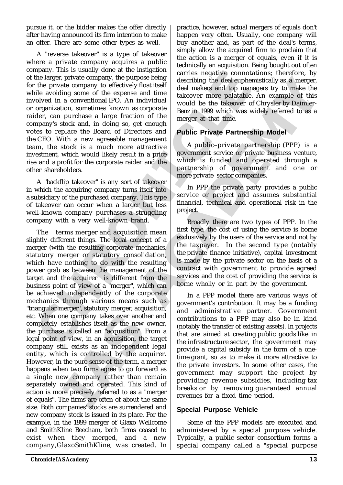pursue it, or the bidder makes the offer directly after having announced its firm intention to make an offer. There are some other types as well.

A "reverse takeover" is a type of takeover where a private company acquires a public company. This is usually done at the instigation of the larger, private company, the purpose being for the private company to effectively float itself while avoiding some of the expense and time involved in a conventional IPO. An individual or organization, sometimes known as corporate raider, can purchase a large fraction of the company's stock and, in doing so, get enough votes to replace the Board of Directors and the CEO. With a new agreeable management team, the stock is a much more attractive investment, which would likely result in a price rise and a profit for the corporate raider and the other shareholders.

A "backflip takeover" is any sort of takeover in which the acquiring company turns itself into a subsidiary of the purchased company. This type of takeover can occur when a larger but less well-known company purchases a struggling company with a very well-known brand.

many this is usually different things. The legislation of the respectively float likely from the private company the purpose being<br>
the larger, private company the purpose being<br>
the larger, private company the expense an private company, the purpose being describing the data understanding as a merger, and time allower more plane and the experimential as a merger and the experimential and the matter of the special and the specific on exampl The terms merger and acquisition mean slightly different things. The legal concept of a merger (with the resulting corporate mechanics, statutory merger or statutory consolidation, which have nothing to do with the resulting power grab as between the management of the target and the acquirer is different from the business point of view of a "merger", which can be achieved independently of the corporate mechanics through various means such as "triangular merger", statutory merger, acquisition, etc. When one company takes over another and completely establishes itself as the new owner, the purchase is called an "acquisition". From a legal point of view, in an acquisition, the target company still exists as an independent legal entity, which is controlled by the acquirer. However, in the pure sense of the term, a merger happens when two firms agree to go forward as a single new company rather than remain separately owned and operated. This kind of action is more precisely referred to as a "merger of equals". The firms are often of about the same size. Both companies' stocks are surrendered and new company stock is issued in its place. For the example, in the 1999 merger of Glaxo Wellcome and SmithKline Beecham, both firms ceased to exist when they merged, and a new company,GlaxoSmithKline, was created. In

practice, however, actual mergers of equals don't happen very often. Usually, one company will buy another and, as part of the deal's terms, simply allow the acquired firm to proclaim that the action is a merger of equals, even if it is technically an acquisition. Being bought out often carries negative connotations; therefore, by describing the deal euphemistically as a merger, deal makers and top managers try to make the takeover more palatable. An example of this would be the takeover of Chrysler by Daimler-Benz in 1999 which was widely referred to as a merger at that time.

## **Public Private Partnership Model**

A public–private partnership (PPP) is a government service or private business venture, which is funded and operated through a partnership of government and one or more private sector companies.

In PPP the private party provides a public service or project and assumes substantial financial, technical and operational risk in the project.

Broadly there are two types of PPP. In the first type, the cost of using the service is borne exclusively by the users of the service and not by the taxpayer. In the second type (notably the private finance initiative), capital investment is made by the private sector on the basis of a contract with government to provide agreed services and the cost of providing the service is borne wholly or in part by the government.

In a PPP model there are various ways of government's contribution. It may be a funding and administrative partner. Government contributions to a PPP may also be in kind (notably the transfer of existing assets). In projects that are aimed at creating public goods like in the infrastructure sector, the government may provide a capital subsidy in the form of a onetime grant, so as to make it more attractive to the private investors. In some other cases, the government may support the project by providing revenue subsidies, including tax breaks or by removing guaranteed annual revenues for a fixed time period.

## **Special Purpose Vehicle**

Some of the PPP models are executed and administered by a special purpose vehicle. Typically, a public sector consortium forms a special company called a "special purpose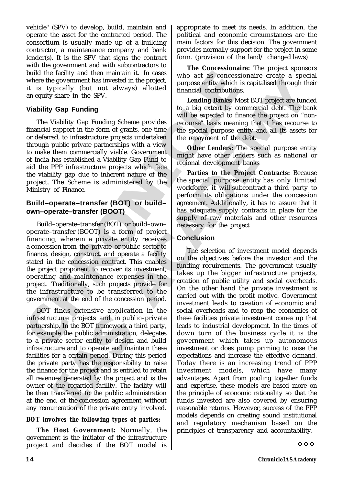vehicle" (SPV) to develop, build, maintain and operate the asset for the contracted period. The consortium is usually made up of a building contractor, a maintenance company and bank lender(s). It is the SPV that signs the contract with the government and with subcontractors to build the facility and then maintain it. In cases where the government has invested in the project, it is typically (but not always) allotted an equity share in the SPV.

## **Viability Gap Funding**

The Viability Gap Funding Scheme provides financial support in the form of grants, one time or deferred, to infrastructure projects undertaken through public private partnerships with a view to make them commercially viable. Government of India has established a Viability Gap Fund to aid the PPP infrastructure projects which face the viability gap due to inherent nature of the project. The Scheme is administered by the Ministry of Finance.

## **Build–operate–transfer (BOT) or build– own–operate–transfer (BOOT)**

build the fact<br>litty and then maintain it. In cases where the government has invested in the project, it is typically (but not always) allotted purpose entity which is typically (but not always) allotted financial contrib Build–operate–transfer (BOT) or build–own– operate–transfer (BOOT) is a form of project financing, wherein a private entity receives a concession from the private or public sector to finance, design, construct, and operate a facility stated in the concession contract. This enables the project proponent to recover its investment, operating and maintenance expenses in the project. Traditionally, such projects provide for the infrastructure to be transferred to the government at the end of the concession period.

BOT finds extensive application in the infrastructure projects and in public–private partnership. In the BOT framework a third party, for example the public administration, delegates to a private sector entity to design and build infrastructure and to operate and maintain these facilities for a certain period. During this period the private party has the responsibility to raise the finance for the project and is entitled to retain all revenues generated by the project and is the owner of the regarded facility. The facility will be then transferred to the public administration at the end of the concession agreement, without any remuneration of the private entity involved.

## *BOT involves the following types of parties:*

**The Host Government:** Normally, the government is the initiator of the infrastructure project and decides if the BOT model is

appropriate to meet its needs. In addition, the political and economic circumstances are the main factors for this decision. The government provides normally support for the project in some form. (provision of the land/ changed laws)

**The Concessionaire:** The project sponsors who act as concessionaire create a special purpose entity which is capitalised through their financial contributions.

**Lending Banks:** Most BOT project are funded to a big extent by commercial debt. The bank will be expected to finance the project on "nonrecourse" basis meaning that it has recourse to the special purpose entity and all its assets for the repayment of the debt.

**Other Lenders:** The special purpose entity might have other lenders such as national or regional development banks

**Parties to the Project Contracts:** Because the special purpose entity has only limited workforce, it will subcontract a third party to perform its obligations under the concession agreement. Additionally, it has to assure that it has adequate supply contracts in place for the supply of raw materials and other resources necessary for the project

## **Conclusion**

e government has hroested in the project. Were are conserved in the project of the project of the project of the based of the specific project are the based of the specific conserved of the specific or **C** and **F** ( $\alpha$  an The selection of investment model depends on the objectives before the investor and the funding requirements. The government usually takes up the bigger infrastructure projects, creation of public utility and social overheads. On the other hand the private investment is carried out with the profit motive. Government investment leads to creation of economic and social overheads and to reap the economies of these facilities private investment comes up that leads to industrial development. In the times of down turn of the business cycle it is the government which takes up autonomous investment or does pump priming to raise the expectations and increase the effective demand. Today there is an increasing trend of PPP investment models, which have many advantages. Apart from pooling together funds and expertise, these models are based more on the principle of economic rationality so that the funds invested are also covered by ensuring reasonable returns. However, success of the PPP models depends on creating sound institutional and regulatory mechanism based on the principles of transparency and accountability.

空空空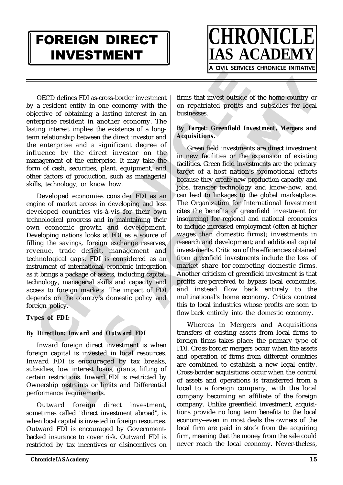# FOREIGN DIRECT INVESTMENT



OECD defines FDI as-cross-border investment by a resident entity in one economy with the objective of obtaining a lasting interest in an enterprise resident in another economy. The lasting interest implies the existence of a longterm relationship between the direct investor and the enterprise and a significant degree of influence by the direct investor on the management of the enterprise. It may take the form of cash, securities, plant, equipment, and other factors of production, such as managerial skills, technology, or know how.

OECD defines FDI as-cross-border investment <br>
a resident entity in one economy with the <br>
increase a resident entity in one economy with the <br>
derived of obtaining a lasting interest in another economy. The<br>
terprise resi Developed economies consider FDI as an engine of market access in developing and less developed countries vis-à-vis for their own technological progress and in maintaining their own economic growth and development. Developing nations looks at FDI as a source of filling the savings, foreign exchange reserves, revenue, trade deficit, management and technological gaps. FDI is considered as an instrument of international economic integration as it brings a package of assets, including capital, technology, managerial skills and capacity and access to foreign markets. The impact of FDI depends on the country's domestic policy and foreign policy.

# **Types of FDI:**

# *By Direction: Inward and Outward FDI*

Inward foreign direct investment is when foreign capital is invested in local resources. Inward FDI is encouraged by tax breaks, subsidies, low interest loans, grants, lifting of certain restrictions. Inward FDI is restricted by Ownership restraints or limits and Differential performance requirements.

Outward foreign direct investment, sometimes called "direct investment abroad", is when local capital is invested in foreign resources. Outward FDI is encouraged by Governmentbacked insurance to cover risk. Outward FDI is restricted by tax incentives or disincentives on firms that invest outside of the home country or on repatriated profits and subsidies for local businesses.

## *By Target: Greenfield Investment, Mergers and Acquisitions.*

of the FDI as cross-border investment | fitms that livest outside of the home country or<br>
to entity in one cronomy with the  $\frac{1}{2}$  one repart that consider a businesses.<br>
Solution a consider in the businesses of a long Green field investments are direct investment in new facilities or the expansion of existing facilities. Green field investments are the primary target of a host nation's promotional efforts because they create new production capacity and jobs, transfer technology and know-how, and can lead to linkages to the global marketplace. The Organization for International Investment cites the benefits of greenfield investment (or insourcing) for regional and national economies to include increased employment (often at higher wages than domestic firms); investments in research and development; and additional capital invest-ments. Criticism of the efficiencies obtained from greenfield investments include the loss of market share for competing domestic firms. Another criticism of greenfield investment is that profits are perceived to bypass local economies, and instead flow back entirely to the multinational's home economy. Critics contrast this to local industries whose profits are seen to flow back entirely into the domestic economy.

Whereas in Mergers and Acquisitions transfers of existing assets from local firms to foreign firms takes place; the primary type of FDI. Cross-border mergers occur when the assets and operation of firms from different countries are combined to establish a new legal entity. Cross-border acquisitions occur when the control of assets and operations is transferred from a local to a foreign company, with the local company becoming an affiliate of the foreign company. Unlike greenfield investment, acquisitions provide no long term benefits to the local economy--even in most deals the owners of the local firm are paid in stock from the acquiring firm, meaning that the money from the sale could never reach the local economy. Never-theless,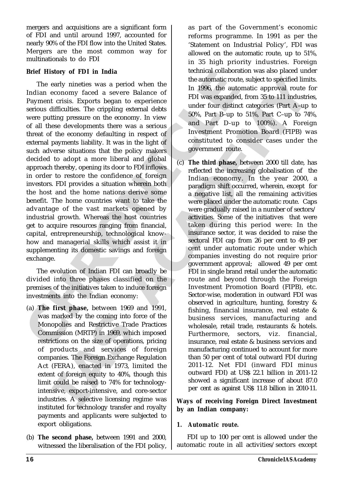mergers and acquisitions are a significant form of FDI and until around 1997, accounted for nearly 90% of the FDI flow into the United States. Mergers are the most common way for multinationals to do FDI

## **Brief History of FDI in India**

Brief History of FDI in India<br>
The actionatic route the automatic route<br>
Indian economy faced a severe Balance of<br>
Engineering the automatic route<br>
Faceuron on the conomy faced a severe Balance of<br>
EDI was expanded to the The early nineties was a period when the Indian economy faced a severe Balance of Payment crisis. Exports began to experience serious difficulties. The crippling external debts were putting pressure on the economy. In view of all these developments there was a serious threat of the economy defaulting in respect of external payments liability. It was in the light of such adverse situations that the policy makers decided to adopt a more liberal and global approach thereby, opening its door to FDI inflows in order to restore the confidence of foreign investors. FDI provides a situation wherein both the host and the home nations derive some benefit. The home countries want to take the advantage of the vast markets opened by industrial growth. Whereas the host countries get to acquire resources ranging from financial, capital, entrepreneurship, technological knowhow and managerial skills which assist it in supplementing its domestic savings and foreign exchange.

The evolution of Indian FDI can broadly be divided into three phases classified on the premises of the initiatives taken to induce foreign investments into the Indian economy:

- (a) **The first phase,** between 1969 and 1991, was marked by the coming into force of the Monopolies and Restrictive Trade Practices Commission (MRTP) in 1969, which imposed restrictions on the size of operations, pricing of products and services of foreign companies. The Foreign Exchange Regulation Act (FERA), enacted in 1973, limited the extent of foreign equity to 40%, though this limit could be raised to 74% for technologyintensive, export-intensive, and core-sector industries. A selective licensing regime was instituted for technology transfer and royalty payments and applicants were subjected to export obligations.
- (b) **The second phase,** between 1991 and 2000, witnessed the liberalisation of the FDI policy,

as part of the Government's economic reforms programme. In 1991 as per the 'Statement on Industrial Policy', FDI was allowed on the automatic route, up to 51%, in 35 high priority industries. Foreign technical collaboration was also placed under the automatic route, subject to specified limits. In 1996, the automatic approval route for FDI was expanded, from 35 to 111 industries, under four distinct categories (Part A–up to 50%, Part B–up to 51%, Part C–up to 74%, and Part D-up to 100%). A Foreign Investment Promotion Board (FIPB) was constituted to consider cases under the government route.

early nineties was a period when the<br>
the automatic context subject to specified limit of the context<br>corresponded, from atomic specified limit of crisis. Expects begann to experience<br>
FDI was expanded, from 35 to 111 ind (c) **The third phase,** between 2000 till date, has reflected the increasing globalisation of the Indian economy. In the year 2000, a paradigm shift occurred, wherein, except for a negative list, all the remaining activities were placed under the automatic route. Caps were gradually raised in a number of sectors/ activities. Some of the initiatives that were taken during this period were: In the insurance sector, it was decided to raise the sectoral FDI cap from 26 per cent to 49 per cent under automatic route under which companies investing do not require prior government approval; allowed 49 per cent FDI in single brand retail under the automatic route and beyond through the Foreign Investment Promotion Board (FIPB), etc. Sector-wise, moderation in outward FDI was observed in agriculture, hunting, forestry & fishing, financial insurance, real estate & business services, manufacturing and wholesale, retail trade, restaurants & hotels. Furthermore, sectors, viz. financial, insurance, real estate & business services and manufacturing continued to account for more than 50 per cent of total outward FDI during 2011-12. Net FDI (inward FDI minus outward FDI) at US\$ 22.1 billion in 2011-12 showed a significant increase of about 87.0 per cent as against US\$ 11.8 billion in 2010-11.

## **Ways of receiving Foreign Direct Investment by an Indian company:**

## *1. Automatic route.*

FDI up to 100 per cent is allowed under the automatic route in all activities/sectors except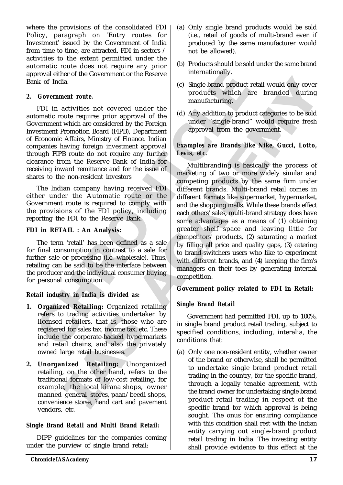where the provisions of the consolidated FDI Policy, paragraph on 'Entry routes for Investment' issued by the Government of India from time to time, are attracted. FDI in sectors / activities to the extent permitted under the automatic route does not require any prior approval either of the Government or the Reserve Bank of India.

## *2. Government route.*

proval either of the Government or the Reserve the covernment route.<br>
FDI in activities not covered under the products which a<br>
FDI in activities not covered under the products which a<br>
very member which are considered by FDI in activities not covered under the automatic route requires prior approval of the Government which are considered by the Foreign Investment Promotion Board (FIPB), Department of Economic Affairs, Ministry of Finance. Indian companies having foreign investment approval through FIPB route do not require any further clearance from the Reserve Bank of India for receiving inward remittance and for the issue of shares to the non-resident investors

The Indian company having received FDI either under the Automatic route or the Government route is required to comply with the provisions of the FDI policy, including reporting the FDI to the Reserve Bank.

## **FDI in RETAIL : An Analysis:**

The term 'retail' has been defined as a sale for final consumption in contrast to a sale for further sale or processing (i.e. wholesale). Thus, retailing can be said to be the interface between the producer and the individual consumer buying for personal consumption.

# *Retail industry in India is divided as:*

- **1. Organized Retailing:** Organized retailing refers to trading activities undertaken by licensed retailers, that is, those who are registered for sales tax, income tax, etc. These include the corporate-backed hypermarkets and retail chains, and also the privately owned large retail businesses.
- **2. Unorganized Retailing:** Unorganized retailing, on the other hand, refers to the traditional formats of low-cost retailing, for example, the local kirana shops, owner manned general stores, paan/beedi shops, convenience stores, hand cart and pavement vendors, etc.

## *Single Brand Retail and Multi Brand Retail:*

DIPP guidelines for the companies coming under the purview of single brand retail:

- (a) Only single brand products would be sold (i.e., retail of goods of multi-brand even if produced by the same manufacturer would not be allowed).
- (b) Products should be sold under the same brand internationally.
- (c) Single-brand product retail would only cover products which are branded during manufacturing.
- (d) Any addition to product categories to be sold under "single-brand" would require fresh approval from the government.

## *Examples are Brands like Nike, Gucci, Lotto, Levis, etc.*

As the case of the method and method and method in the brachet simulate term of the method and method in the breaker of the method and method and method in the method and the method and the method and the method and the me Multibranding is basically the process of marketing of two or more widely similar and competing products by the same firm under different brands. Multi-brand retail comes in different formats like supermarket, hypermarket, and the shopping malls. While these brands effect each others' sales, multi-brand strategy does have some advantages as a means of (1) obtaining greater shelf space and leaving little for competitors' products, (2) saturating a market by filling all price and quality gaps, (3) catering to brand-switchers users who like to experiment with different brands, and (4) keeping the firm's managers on their toes by generating internal competition.

## **Government policy related to FDI in Retail:**

# *Single Brand Retail*

Government had permitted FDI, up to 100%, in single brand product retail trading, subject to specified conditions, including, interalia, the conditions that:

(a) Only one non-resident entity, whether owner of the brand or otherwise, shall be permitted to undertake single brand product retail trading in the country, for the specific brand, through a legally tenable agreement, with the brand owner for undertaking single brand product retail trading in respect of the specific brand for which approval is being sought. The onus for ensuring compliance with this condition shall rest with the Indian entity carrying out single-brand product retail trading in India. The investing entity shall provide evidence to this effect at the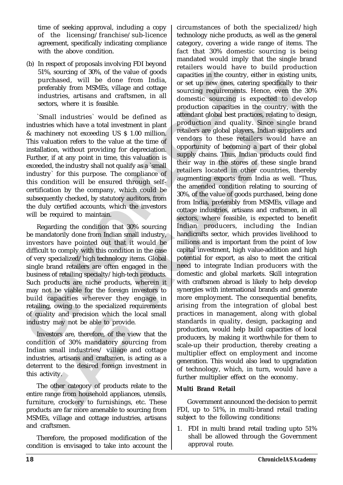time of seeking approval, including a copy of the licensing/franchise/sub-licence agreement, specifically indicating compliance with the above condition.

(b) In respect of proposals involving FDI beyond 51%, sourcing of 30%, of the value of goods purchased, will be done from India, preferably from MSMEs, village and cottage industries, artisans and craftsmen, in all sectors, where it is feasible.

`Small industries` would be defined as industries which have a total investment in plant & machinery not exceeding US \$ 1.00 million. This valuation refers to the value at the time of installation, without providing for depreciation. Further, if at any point in time, this valuation is exceeded, the industry shall not qualify as a `small industry` for this purpose. The compliance of this condition will be ensured through selfcertification by the company, which could be subsequently checked, by statutory auditors, from the duly certified accounts, which the investors will be required to maintain.

Regarding the condition that 30% sourcing be mandatorily done from Indian small industry, investors have pointed out that it would be difficult to comply with this condition in the case of very specialized/high technology items. Global single brand retailers are often engaged in the business of retailing specialty/high-tech products. Such products are niche products, wherein it may not be viable for the foreign investors to build capacities wherever they engage in retailing, owing to the specialized requirements of quality and precision which the local small industry may not be able to provide.

Investors are, therefore, of the view that the condition of 30% mandatory sourcing from Indian small industries/ village and cottage industries, artisans and craftsmen, is acting as a deterrent to the desired foreign investment in this activity.

The other category of products relate to the entire range from household appliances, utensils, furniture, crockery to furnishings, etc. These products are far more amenable to sourcing from MSMEs, village and cottage industries, artisans and craftsmen.

Therefore, the proposed modification of the condition is envisaged to take into account the

51%, sourcing of 30%, of the value of goods<br>
purchased, will be done from India, practines in the count<br>
perchased, will be done from India, or tup new ones, can<br>
industries, artissian and cratismen, in all or set up new hased, will be done from lindia, expactons in the countay-is uner to some provides that is a stiffnally from MSMEs, village and ordtage or set up new emax, calcing pendfitally to the strats. Statisms and ording to the str circumstances of both the specialized/high technology niche products, as well as the general category, covering a wide range of items. The fact that 30% domestic sourcing is being mandated would imply that the single brand retailers would have to build production capacities in the country, either in existing units, or set up new ones, catering specifically to their sourcing requirements. Hence, even the 30% domestic sourcing is expected to develop production capacities in the country, with the attendant global best practices, relating to design, production and quality. Since single brand retailers are global players, Indian suppliers and vendors to these retailers would have an opportunity of becoming a part of their global supply chains. Thus, Indian products could find their way in the stores of these single brand retailers located in other countries, thereby augmenting exports from India as well. "Thus, the amended condition relating to sourcing of 30%, of the value of goods purchased, being done from India, preferably from MSMEs, village and cottage industries, artisans and craftsmen, in all sectors, where feasible, is expected to benefit Indian producers, including the Indian handicrafts sector, which provides livelihood to millions and is important from the point of low capital investment, high value-addition and high potential for export, as also to meet the critical need to integrate Indian producers with the domestic and global markets. Skill integration with craftsmen abroad is likely to help develop synergies with international brands and generate more employment. The consequential benefits, arising from the integration of global best practices in management, along with global standards in quality, design, packaging and production, would help build capacities of local producers, by making it worthwhile for them to scale-up their production, thereby creating a multiplier effect on employment and income generation. This would also lead to upgradation of technology, which, in turn, would have a further multiplier effect on the economy.

## **Multi Brand Retail**

Government announced the decision to permit FDI, up to 51%, in multi-brand retail trading subject to the following conditions:

1. FDI in multi brand retail trading upto 51% shall be allowed through the Government approval route.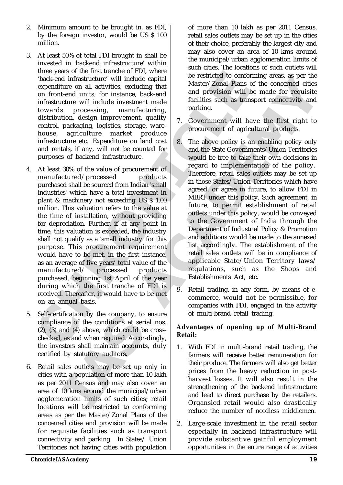- 2. Minimum amount to be brought in, as FDI, by the foreign investor, would be US \$ 100 million.
- 3. At least 50% of total FDI brought in shall be invested in 'backend infrastructure' within three years of the first tranche of FDI, where 'back-end infrastructure' will include capital expenditure on all activities, excluding that on front-end units; for instance, back-end infrastructure will include investment made towards processing, manufacturing, distribution, design improvement, quality control, packaging, logistics, storage, warehouse, agriculture market produce infrastructure etc. Expenditure on land cost and rentals, if any, will not be counted for purposes of backend infrastructure.
- There years of the inst tranche or PDI, where<br>
experimentes and provision will relate to endinfinite on all activities, excluding that<br>
constrained and provision will infrastructure will include investment and<br>
on front-e 4. At least 30% of the value of procurement of manufactured/processed products purchased shall be sourced from Indian 'small industries' which have a total investment in plant & machinery not exceeding US \$ 1.00 million. This valuation refers to the value at the time of installation, without providing for depreciation. Further, if at any point in time, this valuation is exceeded, the industry shall not qualify as a 'small industry' for this purpose. This procurement requirement would have to be met, in the first instance, as an average of five years' total value of the manufactured/ processed products purchased, beginning 1st April of the year during which the first tranche of FDI is received. Thereafter, it would have to be met on an annual basis.
- 5. Self-certification by the company, to ensure compliance of the conditions at serial nos. (2), (3) and (4) above, which could be crosschecked, as and when required. Accor-dingly, the investors shall maintain accounts, duly certified by statutory auditors.
- 6. Retail sales outlets may be set up only in cities with a population of more than 10 lakh as per 2011 Census and may also cover an area of 10 kms around the municipal/urban agglomeration limits of such cities; retail locations will be restricted to conforming areas as per the Master/Zonal Plans of the concerned cities and provision will be made for requisite facilities such as transport connectivity and parking. In States/ Union Territories not having cities with population

of more than 10 lakh as per 2011 Census, retail sales outlets may be set up in the cities of their choice, preferably the largest city and may also cover an area of 10 kms around the municipal/urban agglomeration limits of such cities. The locations of such outlets will be restricted to conforming areas, as per the Master/Zonal Plans of the concerned cities and provision will be made for requisite facilities such as transport connectivity and parking.

- 7. Government will have the first right to procurement of agricultural products.
- d infrastructive will include capital to restricted of conforming areas, as per me<br>
and activities, excluding that<br>
a Master/Zonal Plans of the concerned citates<br>
error until include investment made<br>
and provision will be 8. The above policy is an enabling policy only and the State Governments/Union Territories would be free to take their own decisions in regard to implementation of the policy. Therefore, retail sales outlets may be set up in those States/Union Territories which have agreed, or agree in future, to allow FDI in MBRT under this policy. Such agreement, in future, to permit establishment of retail outlets under this policy, would be conveyed to the Government of India through the Department of Industrial Policy & Promotion and additions would be made to the annexed list accordingly. The establishment of the retail sales outlets will be in compliance of applicable State/Union Territory laws/ regulations, such as the Shops and Establishments Act, etc.
	- 9. Retail trading, in any form, by means of ecommerce, would not be permissible, for companies with FDI, engaged in the activity of multi-brand retail trading.

# **Advantages of opening up of Multi-Brand Retail:**

- 1. With FDI in multi-brand retail trading, the farmers will receive better remuneration for their produce. The farmers will also get better prices from the heavy reduction in postharvest losses. It will also result in the strengthening of the backend infrastructure and lead to direct purchase by the retailers. Organsied retail would also drastically reduce the number of needless middlemen.
- 2. Large-scale investment in the retail sector especially in backend infrastructure will provide substantive gainful employment opportunities in the entire range of activities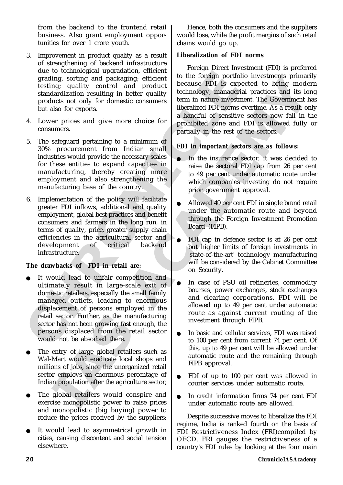from the backend to the frontend retail business. Also grant employment opportunities for over 1 crore youth.

- 3. Improvement in product quality as a result of strengthening of backend infrastructure due to technological upgradation, efficient grading, sorting and packaging; efficient testing; quality control and product standardization resulting in better quality products not only for domestic consumers but also for exports.
- 4. Lower prices and give more choice for consumers.
- 5. The safeguard pertaining to a minimum of 30% procurement from Indian small industries would provide the necessary scales for these entities to expand capacities in manufacturing, thereby creating more employment and also strengthening the manufacturing base of the country.
- 6. Implementation of the policy will facilitate greater FDI inflows, additional and quality employment, global best practices and benefit consumers and farmers in the long run, in terms of quality, price, greater supply chain efficiencies in the agricultural sector and<br>development of critical backend development of critical infrastructure.

## **The drawbacks of FDI in retail are:**

- Contrological upgradinal, enternet to the correspondent and product in the section of a product stating counter and product stating in better quality to standardization resulting in better quality the<br>counter standardizati ing: squality control and packaging: efficient to the toreign portunous metastratication resulting in better quality technology, mangerial practices and the location of the state of the state of the state of the state of It would lead to unfair competition and ultimately result in large-scale exit of domestic retailers, especially the small family managed outlets, leading to enormous displacement of persons employed in the retail sector. Further, as the manufacturing sector has not been growing fast enough, the persons displaced from the retail sector would not be absorbed there.
- The entry of large global retailers such as Wal-Mart would eradicate local shops and millions of jobs, since the unorganized retail sector employs an enormous percentage of Indian population after the agriculture sector;
- The global retailers would conspire and exercise monopolistic power to raise prices and monopolistic (big buying) power to reduce the prices received by the suppliers;
- It would lead to asymmetrical growth in cities, causing discontent and social tension elsewhere.

Hence, both the consumers and the suppliers would lose, while the profit margins of such retail chains would go up.

## **Liberalization of FDI norms**

Foreign Direct Investment (FDI) is preferred to the foreign portfolio investments primarily because FDI is expected to bring modern technology, managerial practices and its long term in nature investment. The Government has liberalized FDI norms overtime. As a result, only a handful of sensitive sectors now fall in the prohibited zone and FDI is allowed fully or partially in the rest of the sectors.

## *FDI in important sectors are as follows:*

- In the insurance sector, it was decided to raise the sectoral FDI cap from 26 per cent to 49 per cent under automatic route under which companies investing do not require prior government approval.
- Allowed 49 per cent FDI in single brand retail under the automatic route and beyond through the Foreign Investment Promotion Board (FIPB).
- FDI cap in defence sector is at 26 per cent but higher limits of foreign investments in 'state-of-the-art' technology manufacturing will be considered by the Cabinet Committee on Security.
- In case of PSU oil refineries, commodity bourses, power exchanges, stock exchanges and clearing corporations, FDI will be allowed up to 49 per cent under automatic route as against current routing of the investment through FIPB.
- In basic and cellular services, FDI was raised to 100 per cent from current 74 per cent. Of this, up to 49 per cent will be allowed under automatic route and the remaining through FIPB approval.
- FDI of up to 100 per cent was allowed in courier services under automatic route.
- In credit information firms 74 per cent FDI under automatic route are allowed.

Despite successive moves to liberalize the FDI regime, India is ranked fourth on the basis of FDI Restrictiveness Index (FRI)compiled by OECD. FRI gauges the restrictiveness of a country's FDI rules by looking at the four main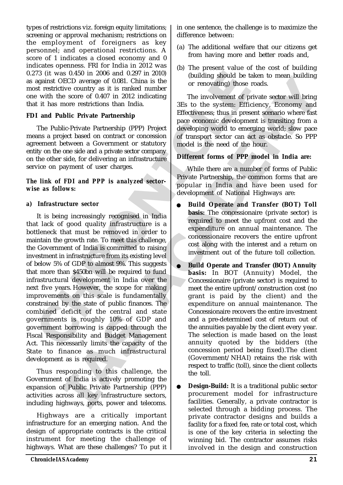types of restrictions viz. foreign equity limitations; screening or approval mechanism; restrictions on the employment of foreigners as key personnel; and operational restrictions. A score of 1 indicates a closed economy and 0 indicates openness. FRI for India in 2012 was 0.273 (it was 0.450 in 2006 and 0.297 in 2010) as against OECD average of 0.081. China is the most restrictive country as it is ranked number one with the score of 0.407 in 2012 indicating that it has more restrictions than India.

# **FDI and Public Private Partnership**

The Public-Private Partnership (PPP) Project means a project based on contract or concession agreement between a Government or statutory entity on the one side and a private sector company on the other side, for delivering an infrastructure service on payment of user charges.

## *The link of FDI and PPP is analyzed sectorwise as follows:*

## *a) Infrastructure sector*

T3 (it was 0.450 in 2008 and 0.297 in 2010)<br>
Nagimber of CD average of 0.081. China is the with the score of 0.091. China is the<br>
st restrictive country as it is ranked number<br>
with the score of 0.407 in 2012 indicating<br> It is being increasingly recognised in India that lack of good quality infrastructure is a bottleneck that must be removed in order to maintain the growth rate. To meet this challenge, the Government of India is committed to raising investment in infrastructure from its existing level of below 5% of GDP to almost 9%. This suggests that more than \$450bn will be required to fund infrastructural development in India over the next five years. However, the scope for making improvements on this scale is fundamentally constrained by the state of public finances. The combined deficit of the central and state governments is roughly 10% of GDP and government borrowing is capped through the Fiscal Responsibility and Budget Management Act. This necessarily limits the capacity of the State to finance as much infrastructural development as is required.

Thus responding to this challenge, the Government of India is actively promoting the expansion of Public Private Partnership (PPP) activities across all key infrastructure sectors, including highways, ports, power and telecoms.

Highways are a critically important infrastructure for an emerging nation. And the design of appropriate contracts is the critical instrument for meeting the challenge of highways. What are these challenges? To put it in one sentence, the challenge is to maximize the difference between:

- (a) The additional welfare that our citizens get from having more and better roads and,
- (b) The present value of the cost of building (building should be taken to mean building or renovating) those roads.

The involvement of private sector will bring 3Es to the system: Efficiency, Economy and Effectiveness; thus in present scenario where fast pace economic development is transiting from a developing world to emerging world; slow pace of transport sector can act as obstacle. So PPP model is the need of the hour.

## **Different forms of PPP model in India are:**

While there are a number of forms of Public Private Partnership, the common forms that are popular in India and have been used for development of National Highways are:

- **Build Operate and Transfer (BOT) Toll basis:** The concessionaire (private sector) is required to meet the upfront cost and the expenditure on annual maintenance. The concessionaire recovers the entire upfront cost along with the interest and a return on investment out of the future toll collection.
- ECD average of 0.080). China is the comparison in the internal material cost and the sected of 0.407 in S2 indicating and the sected of 0.407 in the sected of 0.407 in the sected of 0.407 in the sected of 0.407 in the sec **Build Operate and Transfer (BOT) Annuity basis:** In BOT (Annuity) Model, the Concessionaire (private sector) is required to meet the entire upfront/construction cost (no grant is paid by the client) and the expenditure on annual maintenance. The Concessionaire recovers the entire investment and a pre-determined cost of return out of the annuities payable by the client every year. The selection is made based on the least annuity quoted by the bidders (the concession period being fixed).The client (Government/NHAI) retains the risk with respect to traffic (toll), since the client collects the toll.
	- **Design-Build:** It is a traditional public sector procurement model for infrastructure facilities. Generally, a private contractor is selected through a bidding process. The private contractor designs and builds a facility for a fixed fee, rate or total cost, which is one of the key criteria in selecting the winning bid. The contractor assumes risks involved in the design and construction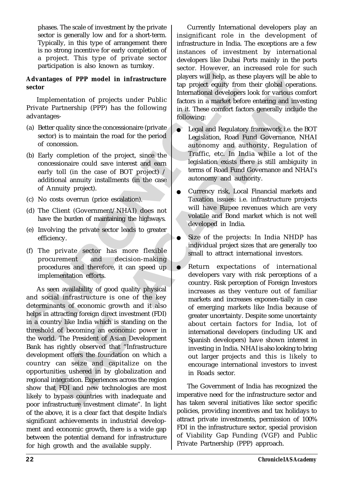phases. The scale of investment by the private sector is generally low and for a short-term. Typically, in this type of arrangement there is no strong incentive for early completion of a project. This type of private sector participation is also known as turnkey.

## **Advantages of PPP model in infrastructure sector**

Implementation of projects under Public Private Partnership (PPP) has the following advantages-

- (a) Better quality since the concessionaire (private sector) is to maintain the road for the period of concession.
- (b) Early completion of the project, since the concessionaire could save interest and earn early toll (in the case of BOT project) / additional annuity installments (in the case of Annuity project).
- (c) No costs overrun (price escalation).
- (d) The Client (Government/NHAI) does not have the burden of maintaining the highways.
- (e) Involving the private sector leads to greater efficiency.
- (f) The private sector has more flexible procurement and decision-making procedures and therefore, it can speed up implementation efforts.

Advantages of PPP model in infrastructure<br>
sector<br>
and sector<br>
and international develope<br>
Deviate Partnership (PPP) has the following<br>
International develope<br>
Private Partnership (PPP) has the following<br>  $\sigma$  concession. As seen availability of good quality physical and social infrastructure is one of the key determinants of economic growth and it also helps in attracting foreign direct investment (FDI) in a country like India which is standing on the threshold of becoming an economic power in the world. The President of Asian Development Bank has rightly observed that "Infrastructure development offers the foundation on which a country can seize and capitalize on the opportunities ushered in by globalization and regional integration. Experiences across the region show that FDI and new technologies are most likely to bypass countries with inadequate and poor infrastructure investment climate". In light of the above, it is a clear fact that despite India's significant achievements in industrial development and economic growth, there is a wide gap between the potential demand for infrastructure for high growth and the available supply.

Currently International developers play an insignificant role in the development of infrastructure in India. The exceptions are a few instances of investment by international developers like Dubai Ports mainly in the ports sector. However, an increased role for such players will help, as these players will be able to tap project equity from their global operations. International developers look for various comfort factors in a market before entering and investing in it. These comfort factors generally include the following:

- Legal and Regulatory framework i.e. the BOT Legislation, Road Fund Governance, NHAI autonomy and authority, Regulation of Traffic, etc. In India while a lot of the legislation exists there is still ambiguity in terms of Road Fund Governance and NHAI's autonomy and authority.
- Currency risk, Local Financial markets and Taxation issues: i.e. infrastructure projects will have Rupee revenues which are very volatile and Bond market which is not well developed in India.
- Size of the projects: In India NHDP has individual project sizes that are generally too small to attract international investors.
- ges of PPP model in infrastructure<br>
lag project eguity from their globial operation<br>
ementation of projects under Public<br>
laternational developes look for various com-<br>
Factors in a market before entering and lavestical<br>
r Return expectations of international developers vary with risk perceptions of a country. Risk perception of Foreign Investors increases as they venture out of familiar markets and increases exponen-tially in case of emerging markets like India because of greater uncertainty. Despite some uncertainty about certain factors for India, lot of international developers (including UK and Spanish developers) have shown interest in investing in India. NHAI is also looking to bring out larger projects and this is likely to encourage international investors to invest in Roads sector.

The Government of India has recognized the imperative need for the infrastructure sector and has taken several initiatives like sector specific policies, providing incentives and tax holidays to attract private investments, permission of 100% FDI in the infrastructure sector, special provision of Viability Gap Funding (VGF) and Public Private Partnership (PPP) approach.